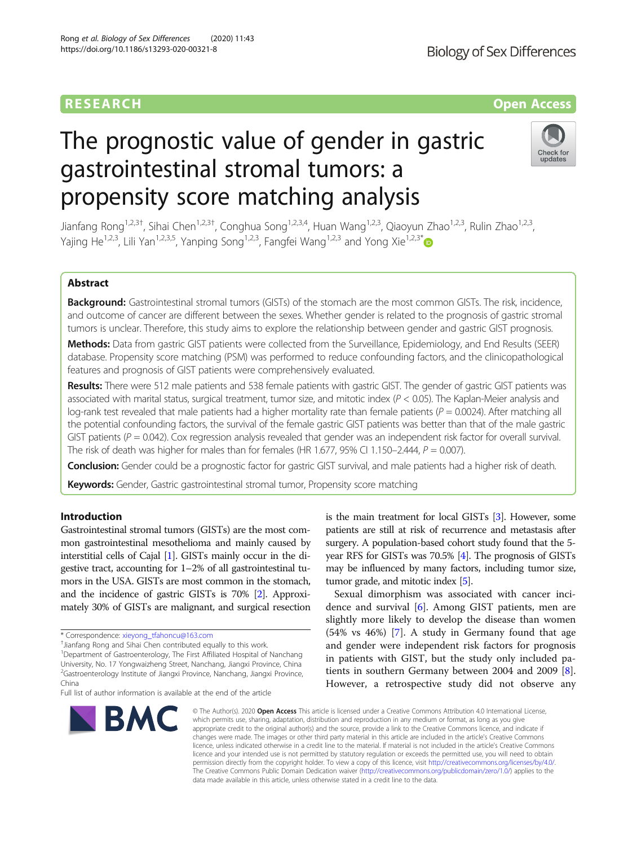# RESEARCH **RESEARCH CONSUMING THE CONSUMING THE CONSUMING TENS**

# The prognostic value of gender in gastric gastrointestinal stromal tumors: a propensity score matching analysis



Jianfang Rong<sup>1,2,3†</sup>, Sihai Chen<sup>1,2,3†</sup>, Conghua Song<sup>1,2,3,4</sup>, Huan Wang<sup>1,2,3</sup>, Qiaoyun Zhao<sup>1,2,3</sup>, Rulin Zhao<sup>1,2,3</sup>, Yajing He<sup>1,2,3</sup>, Lili Yan<sup>1,2,3,5</sup>, Yanping Song<sup>1,2,3</sup>, Fangfei Wang<sup>1,2,3</sup> and Yong Xie<sup>1,2,3[\\*](http://orcid.org/0000-0002-5290-5579)</sup>

# Abstract

Background: Gastrointestinal stromal tumors (GISTs) of the stomach are the most common GISTs. The risk, incidence, and outcome of cancer are different between the sexes. Whether gender is related to the prognosis of gastric stromal tumors is unclear. Therefore, this study aims to explore the relationship between gender and gastric GIST prognosis.

Methods: Data from gastric GIST patients were collected from the Surveillance, Epidemiology, and End Results (SEER) database. Propensity score matching (PSM) was performed to reduce confounding factors, and the clinicopathological features and prognosis of GIST patients were comprehensively evaluated.

Results: There were 512 male patients and 538 female patients with gastric GIST. The gender of gastric GIST patients was associated with marital status, surgical treatment, tumor size, and mitotic index  $(P < 0.05)$ . The Kaplan-Meier analysis and log-rank test revealed that male patients had a higher mortality rate than female patients ( $P = 0.0024$ ). After matching all the potential confounding factors, the survival of the female gastric GIST patients was better than that of the male gastric GIST patients ( $P = 0.042$ ). Cox regression analysis revealed that gender was an independent risk factor for overall survival. The risk of death was higher for males than for females (HR 1.677, 95% CI 1.150–2.444,  $P = 0.007$ ).

Conclusion: Gender could be a prognostic factor for gastric GIST survival, and male patients had a higher risk of death.

Keywords: Gender, Gastric gastrointestinal stromal tumor, Propensity score matching

# Introduction

Gastrointestinal stromal tumors (GISTs) are the most common gastrointestinal mesothelioma and mainly caused by interstitial cells of Cajal [\[1](#page-6-0)]. GISTs mainly occur in the digestive tract, accounting for 1–2% of all gastrointestinal tumors in the USA. GISTs are most common in the stomach, and the incidence of gastric GISTs is 70% [\[2](#page-6-0)]. Approximately 30% of GISTs are malignant, and surgical resection

<sup>1</sup>Department of Gastroenterology, The First Affiliated Hospital of Nanchang University, No. 17 Yongwaizheng Street, Nanchang, Jiangxi Province, China <sup>2</sup>Gastroenterology Institute of Jiangxi Province, Nanchang, Jiangxi Province, China

Full list of author information is available at the end of the article



is the main treatment for local GISTs [[3](#page-6-0)]. However, some patients are still at risk of recurrence and metastasis after surgery. A population-based cohort study found that the 5 year RFS for GISTs was 70.5% [[4\]](#page-6-0). The prognosis of GISTs may be influenced by many factors, including tumor size, tumor grade, and mitotic index [[5](#page-6-0)].

Sexual dimorphism was associated with cancer incidence and survival [\[6](#page-6-0)]. Among GIST patients, men are slightly more likely to develop the disease than women (54% vs 46%) [\[7](#page-6-0)]. A study in Germany found that age and gender were independent risk factors for prognosis in patients with GIST, but the study only included patients in southern Germany between 2004 and 2009 [\[8](#page-6-0)]. However, a retrospective study did not observe any

© The Author(s), 2020 **Open Access** This article is licensed under a Creative Commons Attribution 4.0 International License, which permits use, sharing, adaptation, distribution and reproduction in any medium or format, as long as you give appropriate credit to the original author(s) and the source, provide a link to the Creative Commons licence, and indicate if changes were made. The images or other third party material in this article are included in the article's Creative Commons licence, unless indicated otherwise in a credit line to the material. If material is not included in the article's Creative Commons licence and your intended use is not permitted by statutory regulation or exceeds the permitted use, you will need to obtain permission directly from the copyright holder. To view a copy of this licence, visit [http://creativecommons.org/licenses/by/4.0/.](http://creativecommons.org/licenses/by/4.0/) The Creative Commons Public Domain Dedication waiver [\(http://creativecommons.org/publicdomain/zero/1.0/](http://creativecommons.org/publicdomain/zero/1.0/)) applies to the data made available in this article, unless otherwise stated in a credit line to the data.

<sup>\*</sup> Correspondence: [xieyong\\_tfahoncu@163.com](mailto:xieyong_tfahoncu@163.com) †

<sup>&</sup>lt;sup>+</sup>Jianfang Rong and Sihai Chen contributed equally to this work.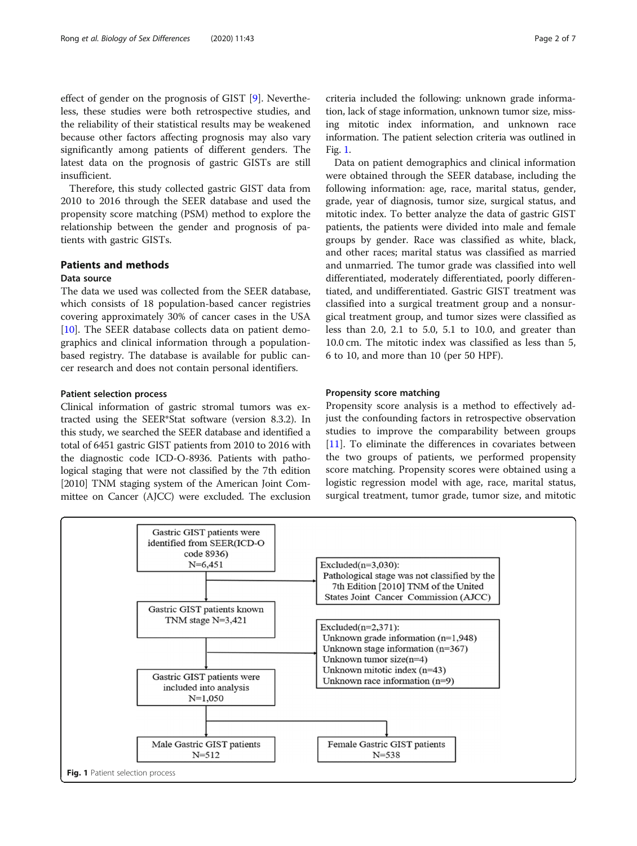<span id="page-1-0"></span>effect of gender on the prognosis of GIST [\[9](#page-6-0)]. Nevertheless, these studies were both retrospective studies, and the reliability of their statistical results may be weakened because other factors affecting prognosis may also vary significantly among patients of different genders. The latest data on the prognosis of gastric GISTs are still insufficient.

Therefore, this study collected gastric GIST data from 2010 to 2016 through the SEER database and used the propensity score matching (PSM) method to explore the relationship between the gender and prognosis of patients with gastric GISTs.

# Patients and methods

## Data source

The data we used was collected from the SEER database, which consists of 18 population-based cancer registries covering approximately 30% of cancer cases in the USA [[10\]](#page-6-0). The SEER database collects data on patient demographics and clinical information through a populationbased registry. The database is available for public cancer research and does not contain personal identifiers.

#### Patient selection process

Clinical information of gastric stromal tumors was extracted using the SEER\*Stat software (version 8.3.2). In this study, we searched the SEER database and identified a total of 6451 gastric GIST patients from 2010 to 2016 with the diagnostic code ICD-O-8936. Patients with pathological staging that were not classified by the 7th edition [2010] TNM staging system of the American Joint Committee on Cancer (AJCC) were excluded. The exclusion

criteria included the following: unknown grade information, lack of stage information, unknown tumor size, missing mitotic index information, and unknown race information. The patient selection criteria was outlined in Fig. 1.

Data on patient demographics and clinical information were obtained through the SEER database, including the following information: age, race, marital status, gender, grade, year of diagnosis, tumor size, surgical status, and mitotic index. To better analyze the data of gastric GIST patients, the patients were divided into male and female groups by gender. Race was classified as white, black, and other races; marital status was classified as married and unmarried. The tumor grade was classified into well differentiated, moderately differentiated, poorly differentiated, and undifferentiated. Gastric GIST treatment was classified into a surgical treatment group and a nonsurgical treatment group, and tumor sizes were classified as less than 2.0, 2.1 to 5.0, 5.1 to 10.0, and greater than 10.0 cm. The mitotic index was classified as less than 5, 6 to 10, and more than 10 (per 50 HPF).

## Propensity score matching

Propensity score analysis is a method to effectively adjust the confounding factors in retrospective observation studies to improve the comparability between groups [[11\]](#page-6-0). To eliminate the differences in covariates between the two groups of patients, we performed propensity score matching. Propensity scores were obtained using a logistic regression model with age, race, marital status, surgical treatment, tumor grade, tumor size, and mitotic

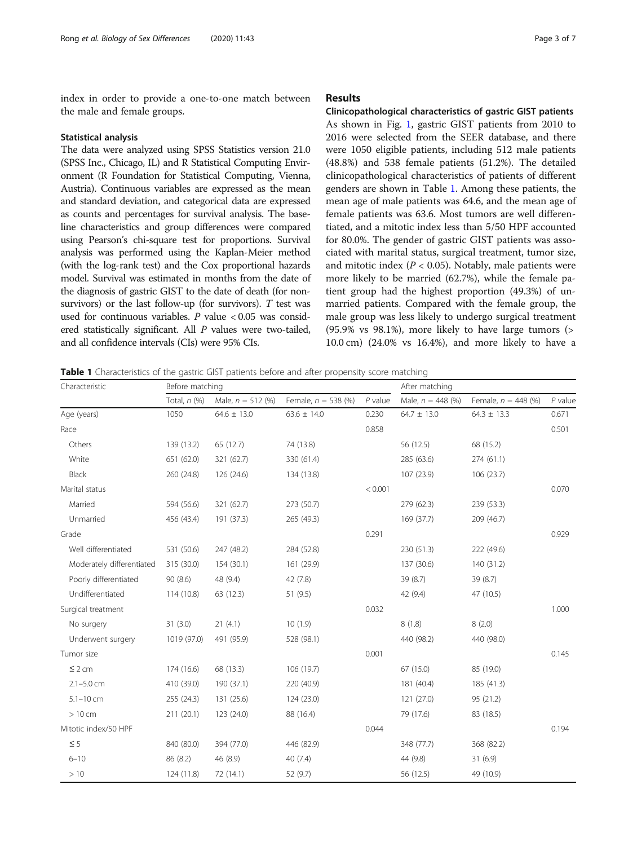<span id="page-2-0"></span>index in order to provide a one-to-one match between the male and female groups.

#### Statistical analysis

The data were analyzed using SPSS Statistics version 21.0 (SPSS Inc., Chicago, IL) and R Statistical Computing Environment (R Foundation for Statistical Computing, Vienna, Austria). Continuous variables are expressed as the mean and standard deviation, and categorical data are expressed as counts and percentages for survival analysis. The baseline characteristics and group differences were compared using Pearson's chi-square test for proportions. Survival analysis was performed using the Kaplan-Meier method (with the log-rank test) and the Cox proportional hazards model. Survival was estimated in months from the date of the diagnosis of gastric GIST to the date of death (for nonsurvivors) or the last follow-up (for survivors).  $T$  test was used for continuous variables.  $P$  value  $< 0.05$  was considered statistically significant. All P values were two-tailed, and all confidence intervals (CIs) were 95% CIs.

# Results

Clinicopathological characteristics of gastric GIST patients As shown in Fig. [1,](#page-1-0) gastric GIST patients from 2010 to 2016 were selected from the SEER database, and there were 1050 eligible patients, including 512 male patients (48.8%) and 538 female patients (51.2%). The detailed clinicopathological characteristics of patients of different genders are shown in Table 1. Among these patients, the mean age of male patients was 64.6, and the mean age of female patients was 63.6. Most tumors are well differentiated, and a mitotic index less than 5/50 HPF accounted for 80.0%. The gender of gastric GIST patients was associated with marital status, surgical treatment, tumor size, and mitotic index ( $P < 0.05$ ). Notably, male patients were more likely to be married (62.7%), while the female patient group had the highest proportion (49.3%) of unmarried patients. Compared with the female group, the male group was less likely to undergo surgical treatment (95.9% vs 98.1%), more likely to have large tumors (> 10.0 cm) (24.0% vs 16.4%), and more likely to have a

Table 1 Characteristics of the gastric GIST patients before and after propensity score matching

| Characteristic            | Before matching |                     |                       |           | After matching      |                       |           |
|---------------------------|-----------------|---------------------|-----------------------|-----------|---------------------|-----------------------|-----------|
|                           | Total, n (%)    | Male, $n = 512$ (%) | Female, $n = 538$ (%) | $P$ value | Male, $n = 448$ (%) | Female, $n = 448$ (%) | $P$ value |
| Age (years)               | 1050            | $64.6 \pm 13.0$     | $63.6 \pm 14.0$       | 0.230     | $64.7 \pm 13.0$     | $64.3 \pm 13.3$       | 0.671     |
| Race                      |                 |                     |                       | 0.858     |                     |                       | 0.501     |
| Others                    | 139 (13.2)      | 65 (12.7)           | 74 (13.8)             |           | 56 (12.5)           | 68 (15.2)             |           |
| White                     | 651 (62.0)      | 321 (62.7)          | 330 (61.4)            |           | 285 (63.6)          | 274(61.1)             |           |
| Black                     | 260 (24.8)      | 126 (24.6)          | 134 (13.8)            |           | 107 (23.9)          | 106 (23.7)            |           |
| Marital status            |                 |                     |                       | < 0.001   |                     |                       | 0.070     |
| Married                   | 594 (56.6)      | 321 (62.7)          | 273 (50.7)            |           | 279 (62.3)          | 239 (53.3)            |           |
| Unmarried                 | 456 (43.4)      | 191 (37.3)          | 265 (49.3)            |           | 169 (37.7)          | 209 (46.7)            |           |
| Grade                     |                 |                     |                       | 0.291     |                     |                       | 0.929     |
| Well differentiated       | 531 (50.6)      | 247 (48.2)          | 284 (52.8)            |           | 230 (51.3)          | 222 (49.6)            |           |
| Moderately differentiated | 315 (30.0)      | 154(30.1)           | 161 (29.9)            |           | 137 (30.6)          | 140 (31.2)            |           |
| Poorly differentiated     | 90(8.6)         | 48 (9.4)            | 42 (7.8)              |           | 39 (8.7)            | 39 (8.7)              |           |
| Undifferentiated          | 114 (10.8)      | 63 (12.3)           | 51 (9.5)              |           | 42 (9.4)            | 47 (10.5)             |           |
| Surgical treatment        |                 |                     |                       | 0.032     |                     |                       | 1.000     |
| No surgery                | 31(3.0)         | 21(4.1)             | 10(1.9)               |           | 8(1.8)              | 8(2.0)                |           |
| Underwent surgery         | 1019 (97.0)     | 491 (95.9)          | 528 (98.1)            |           | 440 (98.2)          | 440 (98.0)            |           |
| Tumor size                |                 |                     |                       | 0.001     |                     |                       | 0.145     |
| $\leq 2$ cm               | 174 (16.6)      | 68 (13.3)           | 106 (19.7)            |           | 67 (15.0)           | 85 (19.0)             |           |
| $2.1 - 5.0$ cm            | 410 (39.0)      | 190 (37.1)          | 220 (40.9)            |           | 181 (40.4)          | 185 (41.3)            |           |
| $5.1 - 10$ cm             | 255 (24.3)      | 131 (25.6)          | 124 (23.0)            |           | 121 (27.0)          | 95 (21.2)             |           |
| $>10$ cm                  | 211 (20.1)      | 123 (24.0)          | 88 (16.4)             |           | 79 (17.6)           | 83 (18.5)             |           |
| Mitotic index/50 HPF      |                 |                     |                       | 0.044     |                     |                       | 0.194     |
| $\leq$ 5                  | 840 (80.0)      | 394 (77.0)          | 446 (82.9)            |           | 348 (77.7)          | 368 (82.2)            |           |
| $6 - 10$                  | 86 (8.2)        | 46 (8.9)            | 40(7.4)               |           | 44 (9.8)            | 31(6.9)               |           |
| >10                       | 124 (11.8)      | 72 (14.1)           | 52 (9.7)              |           | 56 (12.5)           | 49 (10.9)             |           |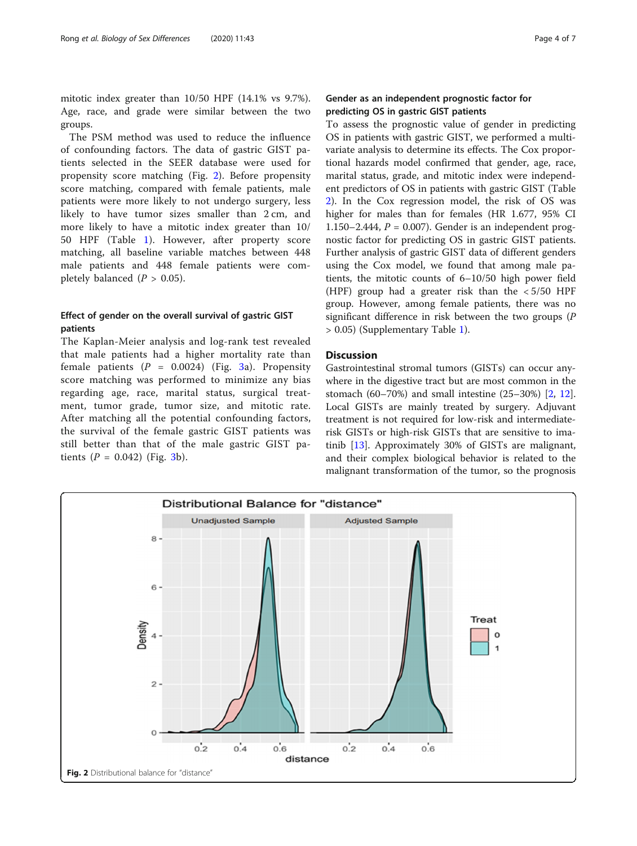mitotic index greater than 10/50 HPF (14.1% vs 9.7%). Age, race, and grade were similar between the two groups.

The PSM method was used to reduce the influence of confounding factors. The data of gastric GIST patients selected in the SEER database were used for propensity score matching (Fig. 2). Before propensity score matching, compared with female patients, male patients were more likely to not undergo surgery, less likely to have tumor sizes smaller than 2 cm, and more likely to have a mitotic index greater than 10/ 50 HPF (Table [1](#page-2-0)). However, after property score matching, all baseline variable matches between 448 male patients and 448 female patients were completely balanced  $(P > 0.05)$ .

# Effect of gender on the overall survival of gastric GIST patients

The Kaplan-Meier analysis and log-rank test revealed that male patients had a higher mortality rate than female patients  $(P = 0.0024)$  (Fig. [3a](#page-4-0)). Propensity score matching was performed to minimize any bias regarding age, race, marital status, surgical treatment, tumor grade, tumor size, and mitotic rate. After matching all the potential confounding factors, the survival of the female gastric GIST patients was still better than that of the male gastric GIST patients  $(P = 0.042)$  (Fig. [3b](#page-4-0)).

# Gender as an independent prognostic factor for predicting OS in gastric GIST patients

To assess the prognostic value of gender in predicting OS in patients with gastric GIST, we performed a multivariate analysis to determine its effects. The Cox proportional hazards model confirmed that gender, age, race, marital status, grade, and mitotic index were independent predictors of OS in patients with gastric GIST (Table [2\)](#page-5-0). In the Cox regression model, the risk of OS was higher for males than for females (HR 1.677, 95% CI 1.150–2.444,  $P = 0.007$ ). Gender is an independent prognostic factor for predicting OS in gastric GIST patients. Further analysis of gastric GIST data of different genders using the Cox model, we found that among male patients, the mitotic counts of 6–10/50 high power field (HPF) group had a greater risk than the < 5/50 HPF group. However, among female patients, there was no significant difference in risk between the two groups (P > 0.05) (Supplementary Table [1](#page-5-0)).

# **Discussion**

Gastrointestinal stromal tumors (GISTs) can occur anywhere in the digestive tract but are most common in the stomach (60–70%) and small intestine (25–30%) [[2,](#page-6-0) [12](#page-6-0)]. Local GISTs are mainly treated by surgery. Adjuvant treatment is not required for low-risk and intermediaterisk GISTs or high-risk GISTs that are sensitive to imatinib [\[13\]](#page-6-0). Approximately 30% of GISTs are malignant, and their complex biological behavior is related to the malignant transformation of the tumor, so the prognosis

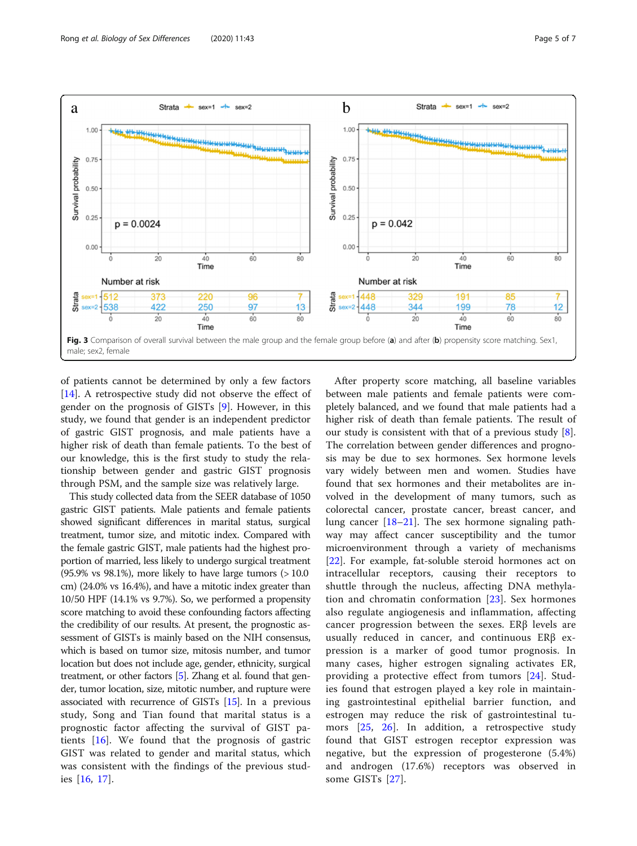<span id="page-4-0"></span>

of patients cannot be determined by only a few factors [[14\]](#page-6-0). A retrospective study did not observe the effect of gender on the prognosis of GISTs [\[9](#page-6-0)]. However, in this study, we found that gender is an independent predictor of gastric GIST prognosis, and male patients have a higher risk of death than female patients. To the best of our knowledge, this is the first study to study the relationship between gender and gastric GIST prognosis through PSM, and the sample size was relatively large.

This study collected data from the SEER database of 1050 gastric GIST patients. Male patients and female patients showed significant differences in marital status, surgical treatment, tumor size, and mitotic index. Compared with the female gastric GIST, male patients had the highest proportion of married, less likely to undergo surgical treatment  $(95.9\% \text{ vs } 98.1\%)$ , more likely to have large tumors  $(>10.0$ cm) (24.0% vs 16.4%), and have a mitotic index greater than 10/50 HPF (14.1% vs 9.7%). So, we performed a propensity score matching to avoid these confounding factors affecting the credibility of our results. At present, the prognostic assessment of GISTs is mainly based on the NIH consensus, which is based on tumor size, mitosis number, and tumor location but does not include age, gender, ethnicity, surgical treatment, or other factors [\[5\]](#page-6-0). Zhang et al. found that gender, tumor location, size, mitotic number, and rupture were associated with recurrence of GISTs [\[15\]](#page-6-0). In a previous study, Song and Tian found that marital status is a prognostic factor affecting the survival of GIST patients [[16\]](#page-6-0). We found that the prognosis of gastric GIST was related to gender and marital status, which was consistent with the findings of the previous studies [[16,](#page-6-0) [17](#page-6-0)].

After property score matching, all baseline variables between male patients and female patients were completely balanced, and we found that male patients had a higher risk of death than female patients. The result of our study is consistent with that of a previous study [\[8](#page-6-0)]. The correlation between gender differences and prognosis may be due to sex hormones. Sex hormone levels vary widely between men and women. Studies have found that sex hormones and their metabolites are involved in the development of many tumors, such as colorectal cancer, prostate cancer, breast cancer, and lung cancer [\[18](#page-6-0)–[21\]](#page-6-0). The sex hormone signaling pathway may affect cancer susceptibility and the tumor microenvironment through a variety of mechanisms [[22\]](#page-6-0). For example, fat-soluble steroid hormones act on intracellular receptors, causing their receptors to shuttle through the nucleus, affecting DNA methylation and chromatin conformation [[23\]](#page-6-0). Sex hormones also regulate angiogenesis and inflammation, affecting cancer progression between the sexes. ERβ levels are usually reduced in cancer, and continuous ERβ expression is a marker of good tumor prognosis. In many cases, higher estrogen signaling activates ER, providing a protective effect from tumors [\[24\]](#page-6-0). Studies found that estrogen played a key role in maintaining gastrointestinal epithelial barrier function, and estrogen may reduce the risk of gastrointestinal tumors [[25](#page-6-0), [26](#page-6-0)]. In addition, a retrospective study found that GIST estrogen receptor expression was negative, but the expression of progesterone (5.4%) and androgen (17.6%) receptors was observed in some GISTs [\[27](#page-6-0)].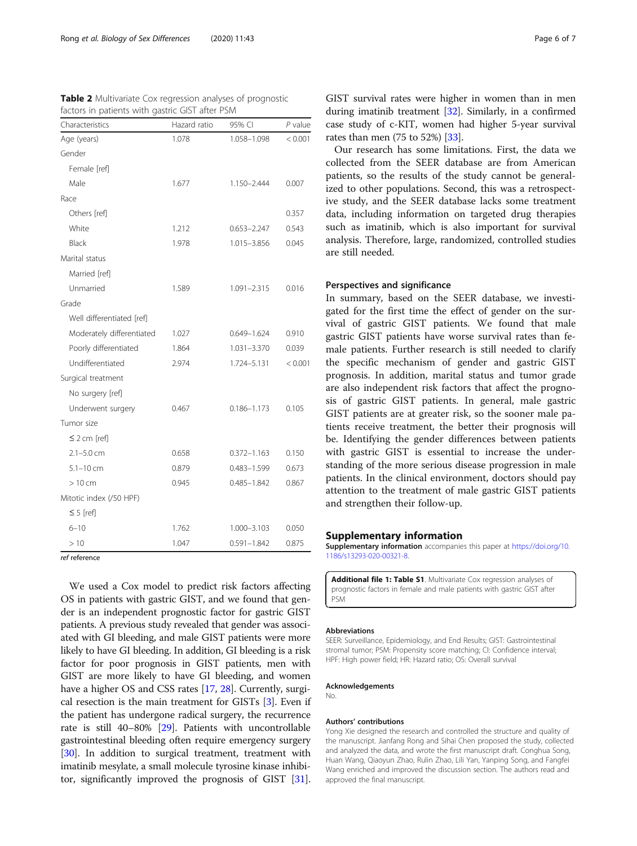| Characteristics           | Hazard ratio | 95% CI          | P value |
|---------------------------|--------------|-----------------|---------|
| Age (years)               | 1.078        | 1.058-1.098     | < 0.001 |
| Gender                    |              |                 |         |
| Female [ref]              |              |                 |         |
| Male                      | 1.677        | 1.150-2.444     | 0.007   |
| Race                      |              |                 |         |
| Others [ref]              |              |                 | 0.357   |
| White                     | 1.212        | $0.653 - 2.247$ | 0.543   |
| <b>Black</b>              | 1.978        | 1.015-3.856     | 0.045   |
| Marital status            |              |                 |         |
| Married [ref]             |              |                 |         |
| Unmarried                 | 1.589        | 1.091-2.315     | 0.016   |
| Grade                     |              |                 |         |
| Well differentiated [ref] |              |                 |         |
| Moderately differentiated | 1.027        | 0.649-1.624     | 0.910   |
| Poorly differentiated     | 1.864        | $1.031 - 3.370$ | 0.039   |
| Undifferentiated          | 2.974        | 1.724-5.131     | < 0.001 |
| Surgical treatment        |              |                 |         |
| No surgery [ref]          |              |                 |         |
| Underwent surgery         | 0.467        | $0.186 - 1.173$ | 0.105   |
| Tumor size                |              |                 |         |
| $\leq$ 2 cm [ref]         |              |                 |         |
| $2.1 - 5.0$ cm            | 0.658        | $0.372 - 1.163$ | 0.150   |
| $5.1 - 10$ cm             | 0.879        | $0.483 - 1.599$ | 0.673   |
| $>10$ cm                  | 0.945        | $0.485 - 1.842$ | 0.867   |
| Mitotic index (/50 HPF)   |              |                 |         |
| $\leq$ 5 [ref]            |              |                 |         |
| $6 - 10$                  | 1.762        | 1.000-3.103     | 0.050   |
| >10                       | 1.047        | $0.591 - 1.842$ | 0.875   |

<span id="page-5-0"></span>Table 2 Multivariate Cox regression analyses of prognostic factors in patients with gastric GIST after PSM

ref reference

We used a Cox model to predict risk factors affecting OS in patients with gastric GIST, and we found that gender is an independent prognostic factor for gastric GIST patients. A previous study revealed that gender was associated with GI bleeding, and male GIST patients were more likely to have GI bleeding. In addition, GI bleeding is a risk factor for poor prognosis in GIST patients, men with GIST are more likely to have GI bleeding, and women have a higher OS and CSS rates [\[17](#page-6-0), [28\]](#page-6-0). Currently, surgical resection is the main treatment for GISTs [\[3\]](#page-6-0). Even if the patient has undergone radical surgery, the recurrence rate is still 40–80% [[29](#page-6-0)]. Patients with uncontrollable gastrointestinal bleeding often require emergency surgery [[30](#page-6-0)]. In addition to surgical treatment, treatment with imatinib mesylate, a small molecule tyrosine kinase inhibitor, significantly improved the prognosis of GIST [[31](#page-6-0)].

GIST survival rates were higher in women than in men during imatinib treatment [\[32\]](#page-6-0). Similarly, in a confirmed case study of c-KIT, women had higher 5-year survival rates than men (75 to 52%) [[33](#page-6-0)].

Our research has some limitations. First, the data we collected from the SEER database are from American patients, so the results of the study cannot be generalized to other populations. Second, this was a retrospective study, and the SEER database lacks some treatment data, including information on targeted drug therapies such as imatinib, which is also important for survival analysis. Therefore, large, randomized, controlled studies are still needed.

# Perspectives and significance

In summary, based on the SEER database, we investigated for the first time the effect of gender on the survival of gastric GIST patients. We found that male gastric GIST patients have worse survival rates than female patients. Further research is still needed to clarify the specific mechanism of gender and gastric GIST prognosis. In addition, marital status and tumor grade are also independent risk factors that affect the prognosis of gastric GIST patients. In general, male gastric GIST patients are at greater risk, so the sooner male patients receive treatment, the better their prognosis will be. Identifying the gender differences between patients with gastric GIST is essential to increase the understanding of the more serious disease progression in male patients. In the clinical environment, doctors should pay attention to the treatment of male gastric GIST patients and strengthen their follow-up.

# Supplementary information

Supplementary information accompanies this paper at [https://doi.org/10.](https://doi.org/10.1186/s13293-020-00321-8) [1186/s13293-020-00321-8](https://doi.org/10.1186/s13293-020-00321-8).

Additional file 1: Table S1. Multivariate Cox regression analyses of prognostic factors in female and male patients with gastric GIST after PSM

#### Abbreviations

SEER: Surveillance, Epidemiology, and End Results; GIST: Gastrointestinal stromal tumor; PSM: Propensity score matching; CI: Confidence interval; HPF: High power field; HR: Hazard ratio; OS: Overall survival

#### Acknowledgements

No.

#### Authors' contributions

Yong Xie designed the research and controlled the structure and quality of the manuscript. Jianfang Rong and Sihai Chen proposed the study, collected and analyzed the data, and wrote the first manuscript draft. Conghua Song, Huan Wang, Qiaoyun Zhao, Rulin Zhao, Lili Yan, Yanping Song, and Fangfei Wang enriched and improved the discussion section. The authors read and approved the final manuscript.